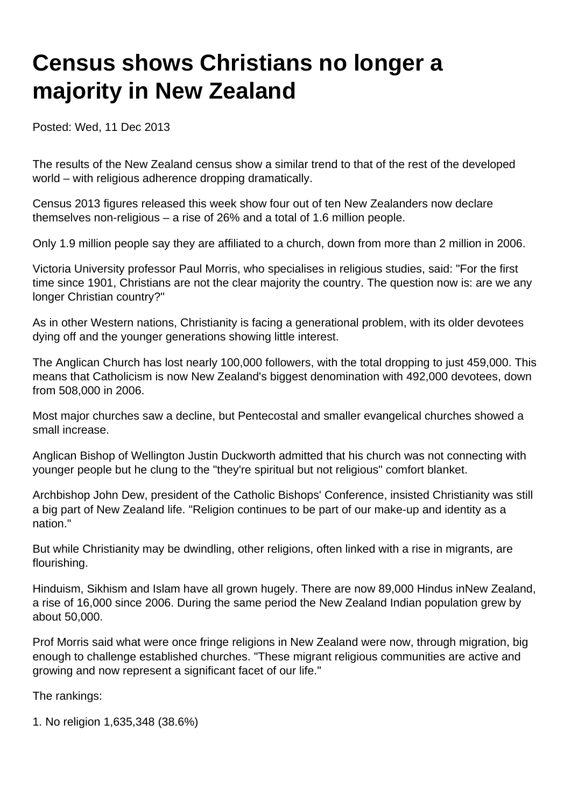## **Census shows Christians no longer a majority in New Zealand**

Posted: Wed, 11 Dec 2013

The results of the New Zealand census show a similar trend to that of the rest of the developed world – with religious adherence dropping dramatically.

Census 2013 figures released this week show four out of ten New Zealanders now declare themselves non-religious – a rise of 26% and a total of 1.6 million people.

Only 1.9 million people say they are affiliated to a church, down from more than 2 million in 2006.

Victoria University professor Paul Morris, who specialises in religious studies, said: "For the first time since 1901, Christians are not the clear majority the country. The question now is: are we any longer Christian country?"

As in other Western nations, Christianity is facing a generational problem, with its older devotees dying off and the younger generations showing little interest.

The Anglican Church has lost nearly 100,000 followers, with the total dropping to just 459,000. This means that Catholicism is now New Zealand's biggest denomination with 492,000 devotees, down from 508,000 in 2006.

Most major churches saw a decline, but Pentecostal and smaller evangelical churches showed a small increase.

Anglican Bishop of Wellington Justin Duckworth admitted that his church was not connecting with younger people but he clung to the "they're spiritual but not religious" comfort blanket.

Archbishop John Dew, president of the Catholic Bishops' Conference, insisted Christianity was still a big part of New Zealand life. "Religion continues to be part of our make-up and identity as a nation."

But while Christianity may be dwindling, other religions, often linked with a rise in migrants, are flourishing.

Hinduism, Sikhism and Islam have all grown hugely. There are now 89,000 Hindus inNew Zealand, a rise of 16,000 since 2006. During the same period the New Zealand Indian population grew by about 50,000.

Prof Morris said what were once fringe religions in New Zealand were now, through migration, big enough to challenge established churches. "These migrant religious communities are active and growing and now represent a significant facet of our life."

The rankings:

1. No religion 1,635,348 (38.6%)